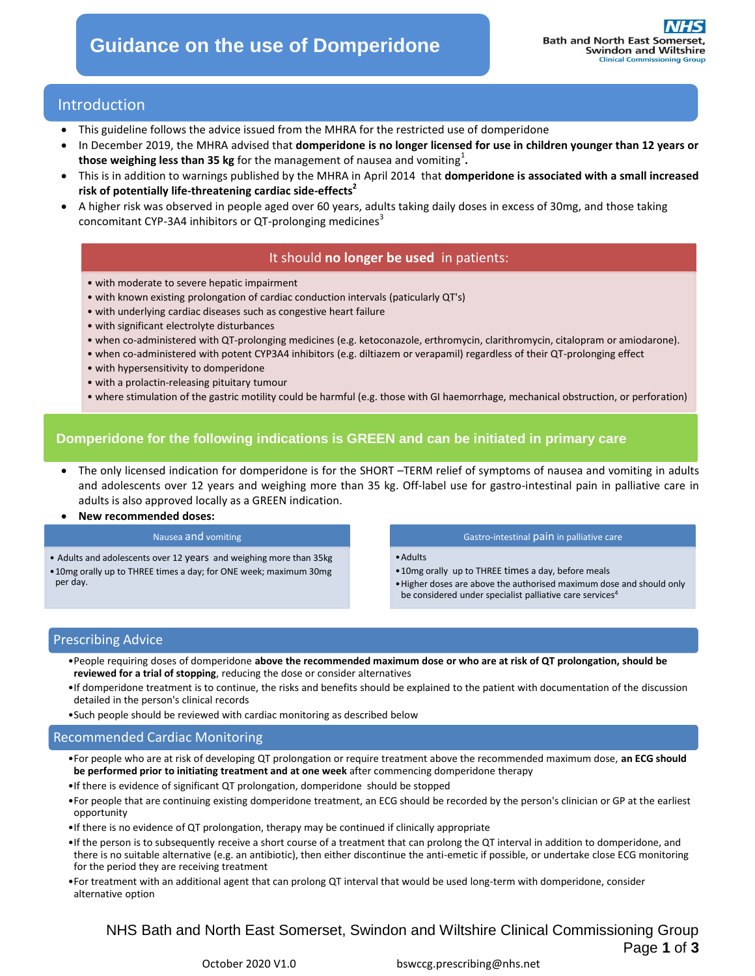# Introduction

- This guideline follows the advice issued from the MHRA for the restricted use of domperidone
- In December 2019, the MHRA advised that **domperidone is no longer licensed for use in children younger than 12 years or those weighing less than 35 kg** for the management of nausea and vomiting<sup>1</sup>.
- This is in addition to warnings published by the MHRA in April 2014 that **domperidone is associated with a small increased risk of potentially life-threatening cardiac side-effects<sup>2</sup>**
- A higher risk was observed in people aged over 60 years, adults taking daily doses in excess of 30mg, and those taking concomitant CYP-3A4 inhibitors or  $QT$ -prolonging medicines<sup>3</sup>

# It should **no longer be used** in patients:

- with moderate to severe hepatic impairment
- with known existing prolongation of cardiac conduction intervals (paticularly QT's)
- with underlying cardiac diseases such as congestive heart failure
- with significant electrolyte disturbances
- when co-administered with QT-prolonging medicines (e.g. ketoconazole, erthromycin, clarithromycin, citalopram or amiodarone).
- when co-administered with potent CYP3A4 inhibitors (e.g. diltiazem or verapamil) regardless of their QT-prolonging effect
- with hypersensitivity to domperidone
- with a prolactin-releasing pituitary tumour
- where stimulation of the gastric motility could be harmful (e.g. those with GI haemorrhage, mechanical obstruction, or perforation)

## **Domperidone for the following indications is GREEN and can be initiated in primary care**

 The only licensed indication for domperidone is for the SHORT –TERM relief of symptoms of nausea and vomiting in adults and adolescents over 12 years and weighing more than 35 kg. Off-label use for gastro-intestinal pain in palliative care in adults is also approved locally as a GREEN indication.

### **New recommended doses:**

### Nausea and vomiting

• Adults and adolescents over 12 years and weighing more than 35kg •10mg orally up to THREE times a day; for ONE week; maximum 30mg per day.

### Gastro-intestinal pain in palliative care

#### •Adults

- •10mg orally up to THREE times a day, before meals
- •Higher doses are above the authorised maximum dose and should only be considered under specialist palliative care services<sup>4</sup>

## Prescribing Advice

- •People requiring doses of domperidone **above the recommended maximum dose or who are at risk of QT prolongation, should be reviewed for a trial of stopping**, reducing the dose or consider alternatives
- •If domperidone treatment is to continue, the risks and benefits should be explained to the patient with documentation of the discussion detailed in the person's clinical records
- •Such people should be reviewed with cardiac monitoring as described below

## Recommended Cardiac Monitoring

- •For people who are at risk of developing QT prolongation or require treatment above the recommended maximum dose, **an ECG should be performed prior to initiating treatment and at one week** after commencing domperidone therapy
- •If there is evidence of significant QT prolongation, domperidone should be stopped
- •For people that are continuing existing domperidone treatment, an ECG should be recorded by the person's clinician or GP at the earliest opportunity
- •If there is no evidence of QT prolongation, therapy may be continued if clinically appropriate
- •If the person is to subsequently receive a short course of a treatment that can prolong the QT interval in addition to domperidone, and there is no suitable alternative (e.g. an antibiotic), then either discontinue the anti-emetic if possible, or undertake close ECG monitoring for the period they are receiving treatment
- •For treatment with an additional agent that can prolong QT interval that would be used long-term with domperidone, consider alternative option

## NHS Bath and North East Somerset, Swindon and Wiltshire Clinical Commissioning Group Page **1** of **3**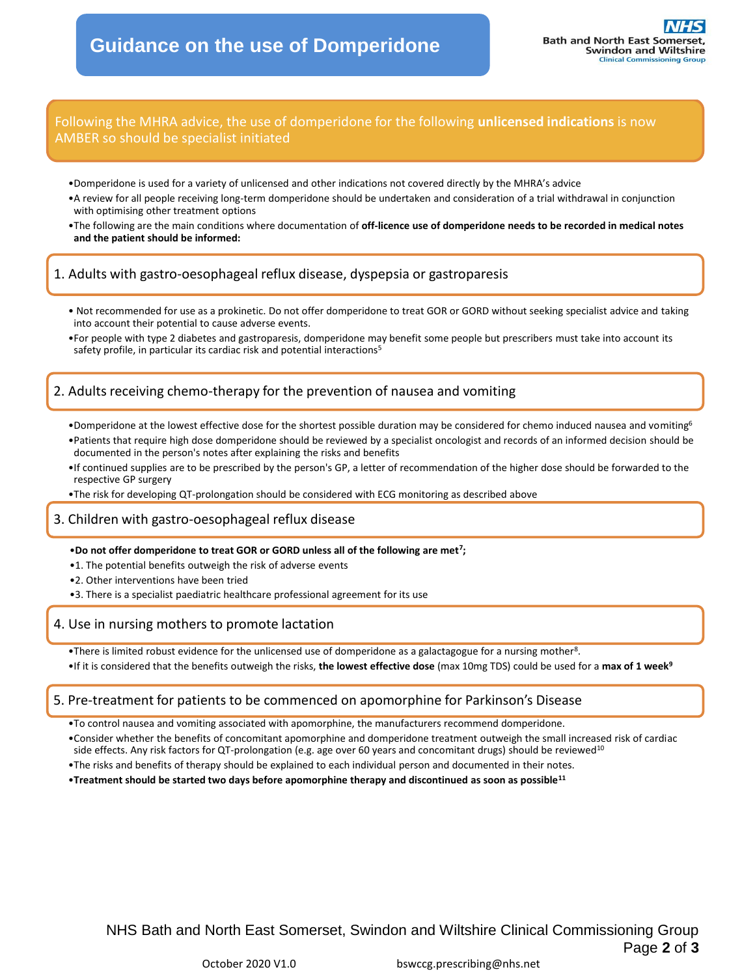Following the MHRA advice, the use of domperidone for the following **unlicensed indications** is now AMBER so should be specialist initiated

- •Domperidone is used for a variety of unlicensed and other indications not covered directly by the MHRA's advice
- •A review for all people receiving long-term domperidone should be undertaken and consideration of a trial withdrawal in conjunction with optimising other treatment options
- •The following are the main conditions where documentation of **off-licence use of domperidone needs to be recorded in medical notes and the patient should be informed:**

### 1. Adults with gastro-oesophageal reflux disease, dyspepsia or gastroparesis

- Not recommended for use as a prokinetic. Do not offer domperidone to treat GOR or GORD without seeking specialist advice and taking into account their potential to cause adverse events.
- •For people with type 2 diabetes and gastroparesis, domperidone may benefit some people but prescribers must take into account its safety profile, in particular its cardiac risk and potential interactions<sup>5</sup>

### 2. Adults receiving chemo-therapy for the prevention of nausea and vomiting

•Domperidone at the lowest effective dose for the shortest possible duration may be considered for chemo induced nausea and vomiting<sup>6</sup> •Patients that require high dose domperidone should be reviewed by a specialist oncologist and records of an informed decision should be documented in the person's notes after explaining the risks and benefits

- •If continued supplies are to be prescribed by the person's GP, a letter of recommendation of the higher dose should be forwarded to the respective GP surgery
- •The risk for developing QT-prolongation should be considered with ECG monitoring as described above

### 3. Children with gastro-oesophageal reflux disease

#### •**Do not offer domperidone to treat GOR or GORD unless all of the following are met<sup>7</sup> ;**

- •1. The potential benefits outweigh the risk of adverse events
- •2. Other interventions have been tried
- •3. There is a specialist paediatric healthcare professional agreement for its use

4. Use in nursing mothers to promote lactation

•There is limited robust evidence for the unlicensed use of domperidone as a galactagogue for a nursing mother<sup>8</sup> . •If it is considered that the benefits outweigh the risks, **the lowest effective dose** (max 10mg TDS) could be used for a **max of 1 week<sup>9</sup>**

### 5. Pre-treatment for patients to be commenced on apomorphine for Parkinson's Disease

- •To control nausea and vomiting associated with apomorphine, the manufacturers recommend domperidone.
- •Consider whether the benefits of concomitant apomorphine and domperidone treatment outweigh the small increased risk of cardiac side effects. Any risk factors for QT-prolongation (e.g. age over 60 years and concomitant drugs) should be reviewed<sup>10</sup>

•The risks and benefits of therapy should be explained to each individual person and documented in their notes.

•**Treatment should be started two days before apomorphine therapy and discontinued as soon as possible11**

NHS Bath and North East Somerset, Swindon and Wiltshire Clinical Commissioning Group Page **2** of **3**